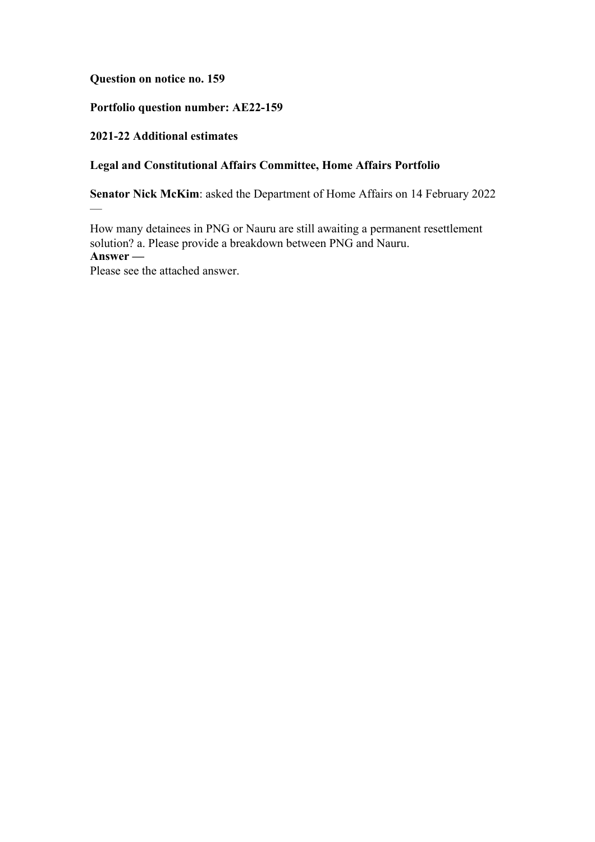**Question on notice no. 159**

## **Portfolio question number: AE22-159**

## **2021-22 Additional estimates**

 $\overline{\phantom{0}}$ 

# **Legal and Constitutional Affairs Committee, Home Affairs Portfolio**

**Senator Nick McKim**: asked the Department of Home Affairs on 14 February 2022

How many detainees in PNG or Nauru are still awaiting a permanent resettlement solution? a. Please provide a breakdown between PNG and Nauru. **Answer —** Please see the attached answer.